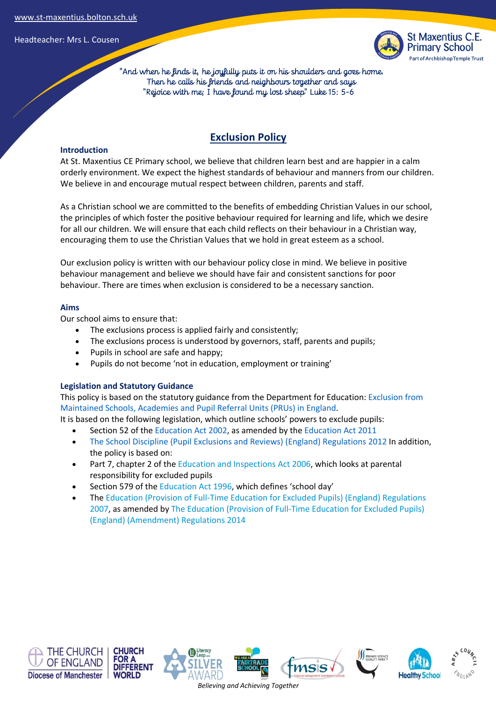

 "And when he finds it, he joyfully puts it on his shoulders and goes home. Then he calls his friends and neighbours together and says "Rejoice with me; I have found my lost sheep" Luke 15: 5-6

#### **Introduction**

# **Exclusion Policy**

At St. Maxentius CE Primary school, we believe that children learn best and are happier in a calm orderly environment. We expect the highest standards of behaviour and manners from our children. We believe in and encourage mutual respect between children, parents and staff.

As a Christian school we are committed to the benefits of embedding Christian Values in our school, the principles of which foster the positive behaviour required for learning and life, which we desire for all our children. We will ensure that each child reflects on their behaviour in a Christian way, encouraging them to use the Christian Values that we hold in great esteem as a school.

Our exclusion policy is written with our behaviour policy close in mind. We believe in positive behaviour management and believe we should have fair and consistent sanctions for poor behaviour. There are times when exclusion is considered to be a necessary sanction.

## **Aims**

Our school aims to ensure that:

- The exclusions process is applied fairly and consistently;
- The exclusions process is understood by governors, staff, parents and pupils;
- Pupils in school are safe and happy;
- Pupils do not become 'not in education, employment or training'

## **Legislation and Statutory Guidance**

This policy is based on the statutory guidance from the Department for Education: Exclusion from Maintained Schools, Academies and Pupil Referral Units (PRUs) in England.

It is based on the following legislation, which outline schools' powers to exclude pupils:

- Section 52 of the Education Act 2002, as amended by the Education Act 2011
- The School Discipline (Pupil Exclusions and Reviews) (England) Regulations 2012 In addition, the policy is based on:
- Part 7, chapter 2 of the Education and Inspections Act 2006, which looks at parental responsibility for excluded pupils
- Section 579 of the Education Act 1996, which defines 'school day'
- The Education (Provision of Full-Time Education for Excluded Pupils) (England) Regulations 2007, as amended by The Education (Provision of Full-Time Education for Excluded Pupils) (England) (Amendment) Regulations 2014











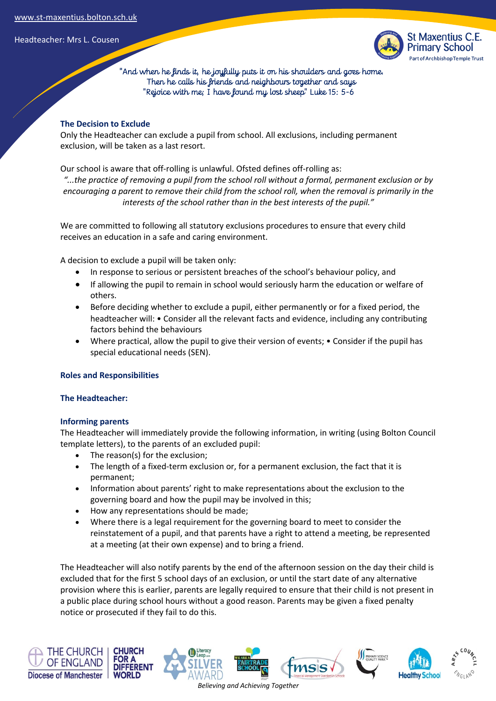

 "And when he finds it, he joyfully puts it on his shoulders and goes home. Then he calls his friends and neighbours together and says "Rejoice with me; I have found my lost sheep" Luke 15: 5-6

## **The Decision to Exclude**

Only the Headteacher can exclude a pupil from school. All exclusions, including permanent exclusion, will be taken as a last resort.

Our school is aware that off-rolling is unlawful. Ofsted defines off-rolling as:

*"...the practice of removing a pupil from the school roll without a formal, permanent exclusion or by encouraging a parent to remove their child from the school roll, when the removal is primarily in the interests of the school rather than in the best interests of the pupil."*

We are committed to following all statutory exclusions procedures to ensure that every child receives an education in a safe and caring environment.

A decision to exclude a pupil will be taken only:

- In response to serious or persistent breaches of the school's behaviour policy, and
- If allowing the pupil to remain in school would seriously harm the education or welfare of others.
- Before deciding whether to exclude a pupil, either permanently or for a fixed period, the headteacher will: • Consider all the relevant facts and evidence, including any contributing factors behind the behaviours
- Where practical, allow the pupil to give their version of events; Consider if the pupil has special educational needs (SEN).

## **Roles and Responsibilities**

## **The Headteacher:**

## **Informing parents**

The Headteacher will immediately provide the following information, in writing (using Bolton Council template letters), to the parents of an excluded pupil:

- The reason(s) for the exclusion;
- The length of a fixed-term exclusion or, for a permanent exclusion, the fact that it is permanent;
- Information about parents' right to make representations about the exclusion to the governing board and how the pupil may be involved in this;
- How any representations should be made;
- Where there is a legal requirement for the governing board to meet to consider the reinstatement of a pupil, and that parents have a right to attend a meeting, be represented at a meeting (at their own expense) and to bring a friend.

The Headteacher will also notify parents by the end of the afternoon session on the day their child is excluded that for the first 5 school days of an exclusion, or until the start date of any alternative provision where this is earlier, parents are legally required to ensure that their child is not present in a public place during school hours without a good reason. Parents may be given a fixed penalty notice or prosecuted if they fail to do this.







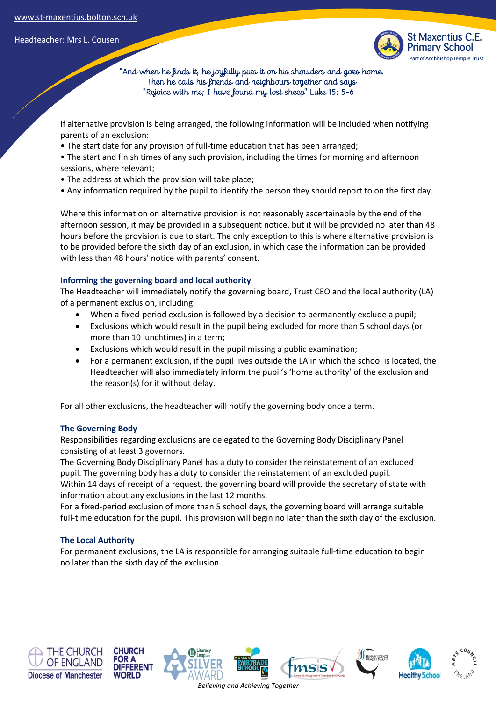

 "And when he finds it, he joyfully puts it on his shoulders and goes home. Then he calls his friends and neighbours together and says "Rejoice with me; I have found my lost sheep" Luke 15: 5-6

If alternative provision is being arranged, the following information will be included when notifying parents of an exclusion:

• The start date for any provision of full-time education that has been arranged;

• The start and finish times of any such provision, including the times for morning and afternoon sessions, where relevant;

- The address at which the provision will take place;
- Any information required by the pupil to identify the person they should report to on the first day.

Where this information on alternative provision is not reasonably ascertainable by the end of the afternoon session, it may be provided in a subsequent notice, but it will be provided no later than 48 hours before the provision is due to start. The only exception to this is where alternative provision is to be provided before the sixth day of an exclusion, in which case the information can be provided with less than 48 hours' notice with parents' consent.

## **Informing the governing board and local authority**

The Headteacher will immediately notify the governing board, Trust CEO and the local authority (LA) of a permanent exclusion, including:

- When a fixed-period exclusion is followed by a decision to permanently exclude a pupil;
- Exclusions which would result in the pupil being excluded for more than 5 school days (or more than 10 lunchtimes) in a term;
- Exclusions which would result in the pupil missing a public examination;
- For a permanent exclusion, if the pupil lives outside the LA in which the school is located, the Headteacher will also immediately inform the pupil's 'home authority' of the exclusion and the reason(s) for it without delay.

For all other exclusions, the headteacher will notify the governing body once a term.

## **The Governing Body**

Responsibilities regarding exclusions are delegated to the Governing Body Disciplinary Panel consisting of at least 3 governors.

The Governing Body Disciplinary Panel has a duty to consider the reinstatement of an excluded pupil. The governing body has a duty to consider the reinstatement of an excluded pupil. Within 14 days of receipt of a request, the governing board will provide the secretary of state with information about any exclusions in the last 12 months.

For a fixed-period exclusion of more than 5 school days, the governing board will arrange suitable full-time education for the pupil. This provision will begin no later than the sixth day of the exclusion.

# **The Local Authority**

For permanent exclusions, the LA is responsible for arranging suitable full-time education to begin no later than the sixth day of the exclusion.











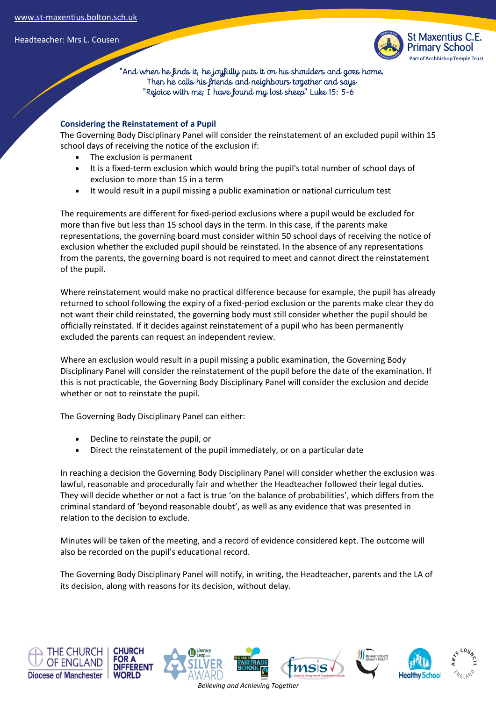

 "And when he finds it, he joyfully puts it on his shoulders and goes home. Then he calls his friends and neighbours together and says "Rejoice with me; I have found my lost sheep" Luke 15: 5-6

## **Considering the Reinstatement of a Pupil**

The Governing Body Disciplinary Panel will consider the reinstatement of an excluded pupil within 15 school days of receiving the notice of the exclusion if:

- The exclusion is permanent
- It is a fixed-term exclusion which would bring the pupil's total number of school days of exclusion to more than 15 in a term
- It would result in a pupil missing a public examination or national curriculum test

The requirements are different for fixed-period exclusions where a pupil would be excluded for more than five but less than 15 school days in the term. In this case, if the parents make representations, the governing board must consider within 50 school days of receiving the notice of exclusion whether the excluded pupil should be reinstated. In the absence of any representations from the parents, the governing board is not required to meet and cannot direct the reinstatement of the pupil.

Where reinstatement would make no practical difference because for example, the pupil has already returned to school following the expiry of a fixed-period exclusion or the parents make clear they do not want their child reinstated, the governing body must still consider whether the pupil should be officially reinstated. If it decides against reinstatement of a pupil who has been permanently excluded the parents can request an independent review.

Where an exclusion would result in a pupil missing a public examination, the Governing Body Disciplinary Panel will consider the reinstatement of the pupil before the date of the examination. If this is not practicable, the Governing Body Disciplinary Panel will consider the exclusion and decide whether or not to reinstate the pupil.

The Governing Body Disciplinary Panel can either:

- Decline to reinstate the pupil, or
- Direct the reinstatement of the pupil immediately, or on a particular date

In reaching a decision the Governing Body Disciplinary Panel will consider whether the exclusion was lawful, reasonable and procedurally fair and whether the Headteacher followed their legal duties. They will decide whether or not a fact is true 'on the balance of probabilities', which differs from the criminal standard of 'beyond reasonable doubt', as well as any evidence that was presented in relation to the decision to exclude.

Minutes will be taken of the meeting, and a record of evidence considered kept. The outcome will also be recorded on the pupil's educational record.

The Governing Body Disciplinary Panel will notify, in writing, the Headteacher, parents and the LA of its decision, along with reasons for its decision, without delay.

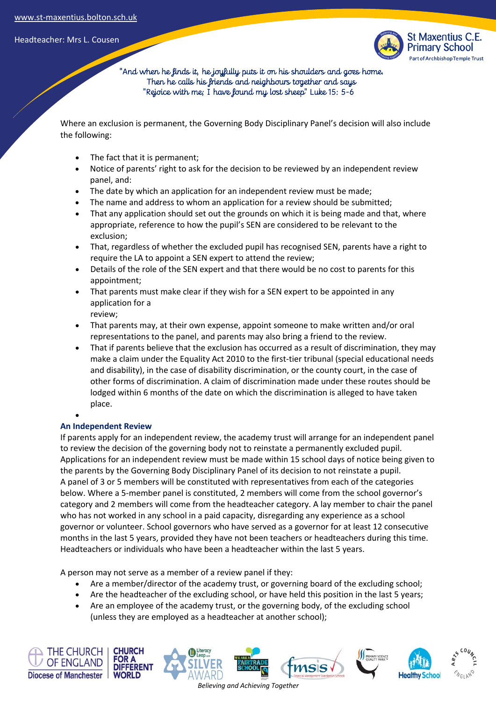

 "And when he finds it, he joyfully puts it on his shoulders and goes home. Then he calls his friends and neighbours together and says "Rejoice with me; I have found my lost sheep" Luke 15: 5-6

Where an exclusion is permanent, the Governing Body Disciplinary Panel's decision will also include the following:

- The fact that it is permanent;
- Notice of parents' right to ask for the decision to be reviewed by an independent review panel, and:
- The date by which an application for an independent review must be made;
- The name and address to whom an application for a review should be submitted;
- That any application should set out the grounds on which it is being made and that, where appropriate, reference to how the pupil's SEN are considered to be relevant to the exclusion;
- That, regardless of whether the excluded pupil has recognised SEN, parents have a right to require the LA to appoint a SEN expert to attend the review;
- Details of the role of the SEN expert and that there would be no cost to parents for this appointment;
- That parents must make clear if they wish for a SEN expert to be appointed in any application for a review;
- That parents may, at their own expense, appoint someone to make written and/or oral representations to the panel, and parents may also bring a friend to the review.
- That if parents believe that the exclusion has occurred as a result of discrimination, they may make a claim under the Equality Act 2010 to the first-tier tribunal (special educational needs and disability), in the case of disability discrimination, or the county court, in the case of other forms of discrimination. A claim of discrimination made under these routes should be lodged within 6 months of the date on which the discrimination is alleged to have taken place.

## **An Independent Review**

•

If parents apply for an independent review, the academy trust will arrange for an independent panel to review the decision of the governing body not to reinstate a permanently excluded pupil. Applications for an independent review must be made within 15 school days of notice being given to the parents by the Governing Body Disciplinary Panel of its decision to not reinstate a pupil. A panel of 3 or 5 members will be constituted with representatives from each of the categories below. Where a 5-member panel is constituted, 2 members will come from the school governor's category and 2 members will come from the headteacher category. A lay member to chair the panel who has not worked in any school in a paid capacity, disregarding any experience as a school governor or volunteer. School governors who have served as a governor for at least 12 consecutive months in the last 5 years, provided they have not been teachers or headteachers during this time. Headteachers or individuals who have been a headteacher within the last 5 years.

A person may not serve as a member of a review panel if they:

- Are a member/director of the academy trust, or governing board of the excluding school;
- Are the headteacher of the excluding school, or have held this position in the last 5 years;
- Are an employee of the academy trust, or the governing body, of the excluding school (unless they are employed as a headteacher at another school);